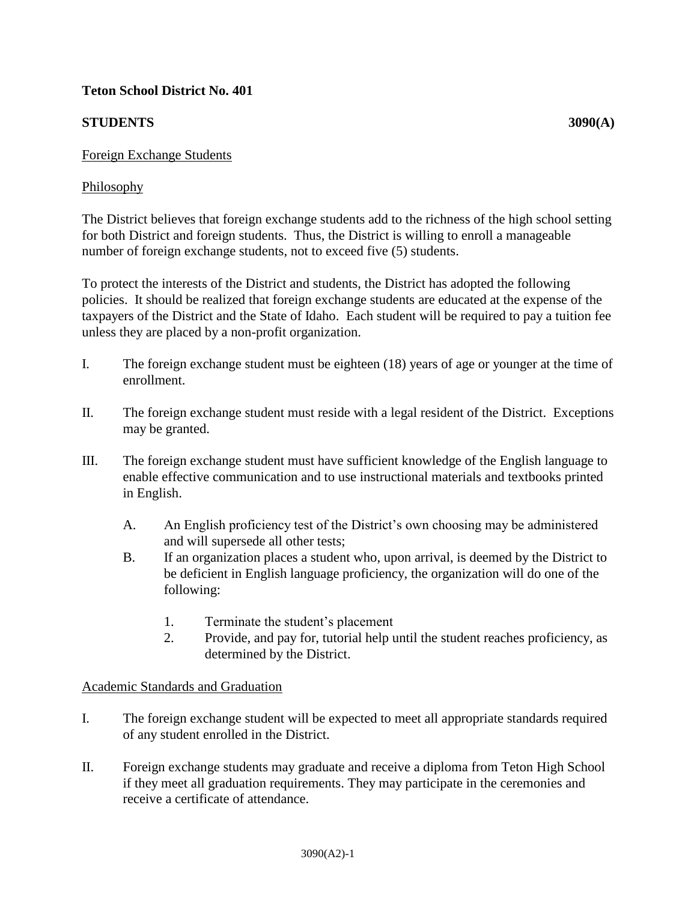## **Teton School District No. 401**

# **STUDENTS** 3090(A)

## Foreign Exchange Students

## Philosophy

The District believes that foreign exchange students add to the richness of the high school setting for both District and foreign students. Thus, the District is willing to enroll a manageable number of foreign exchange students, not to exceed five (5) students.

To protect the interests of the District and students, the District has adopted the following policies. It should be realized that foreign exchange students are educated at the expense of the taxpayers of the District and the State of Idaho. Each student will be required to pay a tuition fee unless they are placed by a non-profit organization.

- I. The foreign exchange student must be eighteen (18) years of age or younger at the time of enrollment.
- II. The foreign exchange student must reside with a legal resident of the District. Exceptions may be granted.
- III. The foreign exchange student must have sufficient knowledge of the English language to enable effective communication and to use instructional materials and textbooks printed in English.
	- A. An English proficiency test of the District's own choosing may be administered and will supersede all other tests;
	- B. If an organization places a student who, upon arrival, is deemed by the District to be deficient in English language proficiency, the organization will do one of the following:
		- 1. Terminate the student's placement
		- 2. Provide, and pay for, tutorial help until the student reaches proficiency, as determined by the District.

## Academic Standards and Graduation

- I. The foreign exchange student will be expected to meet all appropriate standards required of any student enrolled in the District.
- II. Foreign exchange students may graduate and receive a diploma from Teton High School if they meet all graduation requirements. They may participate in the ceremonies and receive a certificate of attendance.